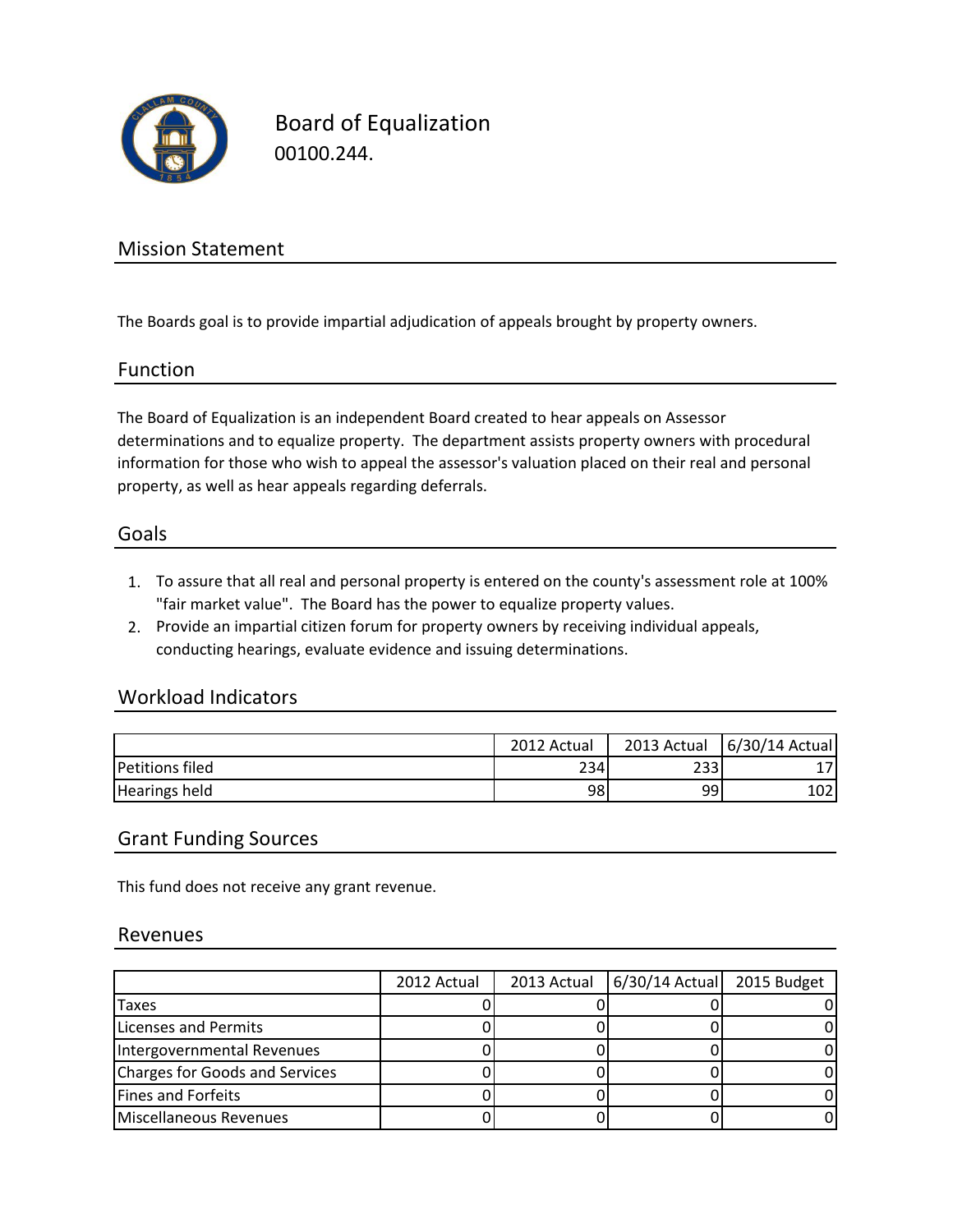

Board of Equalization 00100.244.

### Mission Statement

The Boards goal is to provide impartial adjudication of appeals brought by property owners.

#### Function

The Board of Equalization is an independent Board created to hear appeals on Assessor determinations and to equalize property. The department assists property owners with procedural information for those who wish to appeal the assessor's valuation placed on their real and personal property, as well as hear appeals regarding deferrals.

#### Goals

- 1. To assure that all real and personal property is entered on the county's assessment role at 100% "fair market value". The Board has the power to equalize property values.
- 2. Provide an impartial citizen forum for property owners by receiving individual appeals, conducting hearings, evaluate evidence and issuing determinations.

#### Workload Indicators

|                        | 2012 Actual | 2013 Actual | 6/30/14 Actual |
|------------------------|-------------|-------------|----------------|
| <b>Petitions filed</b> | 234         | 233         |                |
| <b>Hearings held</b>   | 98          | 99          | 102            |

#### Grant Funding Sources

This fund does not receive any grant revenue.

#### Revenues

|                                | 2012 Actual | 2013 Actual   6/30/14 Actual   2015 Budget |  |
|--------------------------------|-------------|--------------------------------------------|--|
| Taxes                          |             |                                            |  |
| Licenses and Permits           |             |                                            |  |
| Intergovernmental Revenues     |             |                                            |  |
| Charges for Goods and Services |             |                                            |  |
| <b>Fines and Forfeits</b>      |             |                                            |  |
| Miscellaneous Revenues         |             |                                            |  |